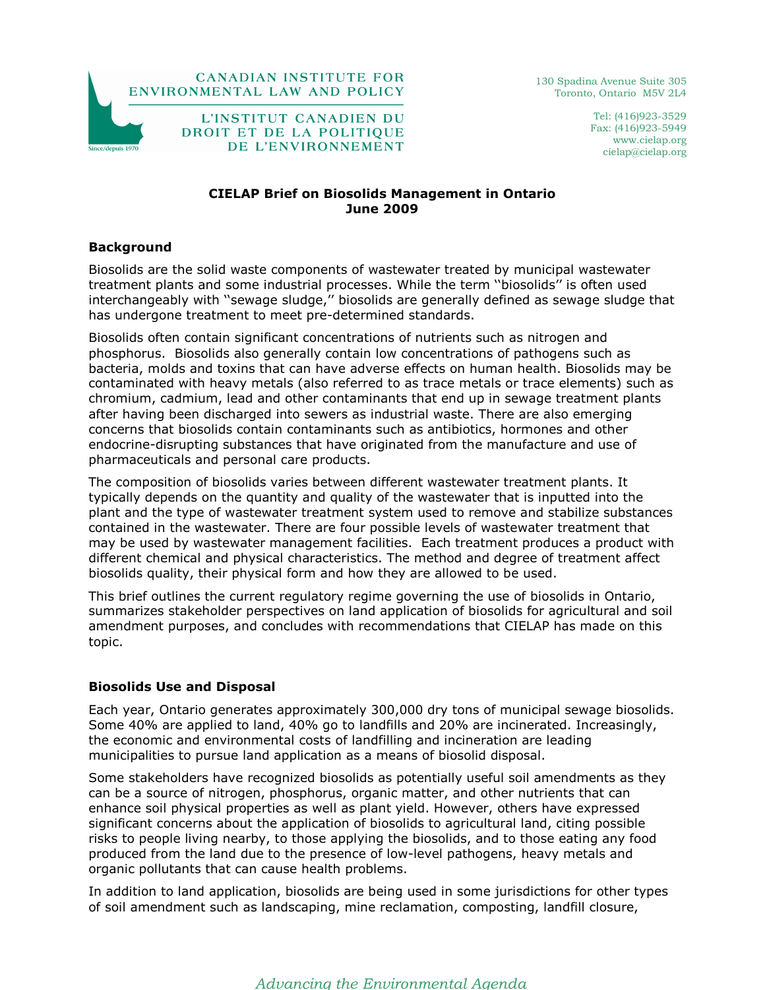

130 Spadina Avenue Suite 305 Toronto, Ontario M5V 2L4

> Tel: (416)923-3529 Fax: (416)923-5949 www.cielap.org cielap@cielap.org

## CIELAP Brief on Biosolids Management in Ontario June 2009

#### **Background**

Biosolids are the solid waste components of wastewater treated by municipal wastewater treatment plants and some industrial processes. While the term ''biosolids'' is often used interchangeably with ''sewage sludge,'' biosolids are generally defined as sewage sludge that has undergone treatment to meet pre-determined standards.

Biosolids often contain significant concentrations of nutrients such as nitrogen and phosphorus. Biosolids also generally contain low concentrations of pathogens such as bacteria, molds and toxins that can have adverse effects on human health. Biosolids may be contaminated with heavy metals (also referred to as trace metals or trace elements) such as chromium, cadmium, lead and other contaminants that end up in sewage treatment plants after having been discharged into sewers as industrial waste. There are also emerging concerns that biosolids contain contaminants such as antibiotics, hormones and other endocrine-disrupting substances that have originated from the manufacture and use of pharmaceuticals and personal care products.

The composition of biosolids varies between different wastewater treatment plants. It typically depends on the quantity and quality of the wastewater that is inputted into the plant and the type of wastewater treatment system used to remove and stabilize substances contained in the wastewater. There are four possible levels of wastewater treatment that may be used by wastewater management facilities. Each treatment produces a product with different chemical and physical characteristics. The method and degree of treatment affect biosolids quality, their physical form and how they are allowed to be used.

This brief outlines the current regulatory regime governing the use of biosolids in Ontario, summarizes stakeholder perspectives on land application of biosolids for agricultural and soil amendment purposes, and concludes with recommendations that CIELAP has made on this topic.

### Biosolids Use and Disposal

Each year, Ontario generates approximately 300,000 dry tons of municipal sewage biosolids. Some 40% are applied to land, 40% go to landfills and 20% are incinerated. Increasingly, the economic and environmental costs of landfilling and incineration are leading municipalities to pursue land application as a means of biosolid disposal.

Some stakeholders have recognized biosolids as potentially useful soil amendments as they can be a source of nitrogen, phosphorus, organic matter, and other nutrients that can enhance soil physical properties as well as plant yield. However, others have expressed significant concerns about the application of biosolids to agricultural land, citing possible risks to people living nearby, to those applying the biosolids, and to those eating any food produced from the land due to the presence of low-level pathogens, heavy metals and organic pollutants that can cause health problems.

In addition to land application, biosolids are being used in some jurisdictions for other types of soil amendment such as landscaping, mine reclamation, composting, landfill closure,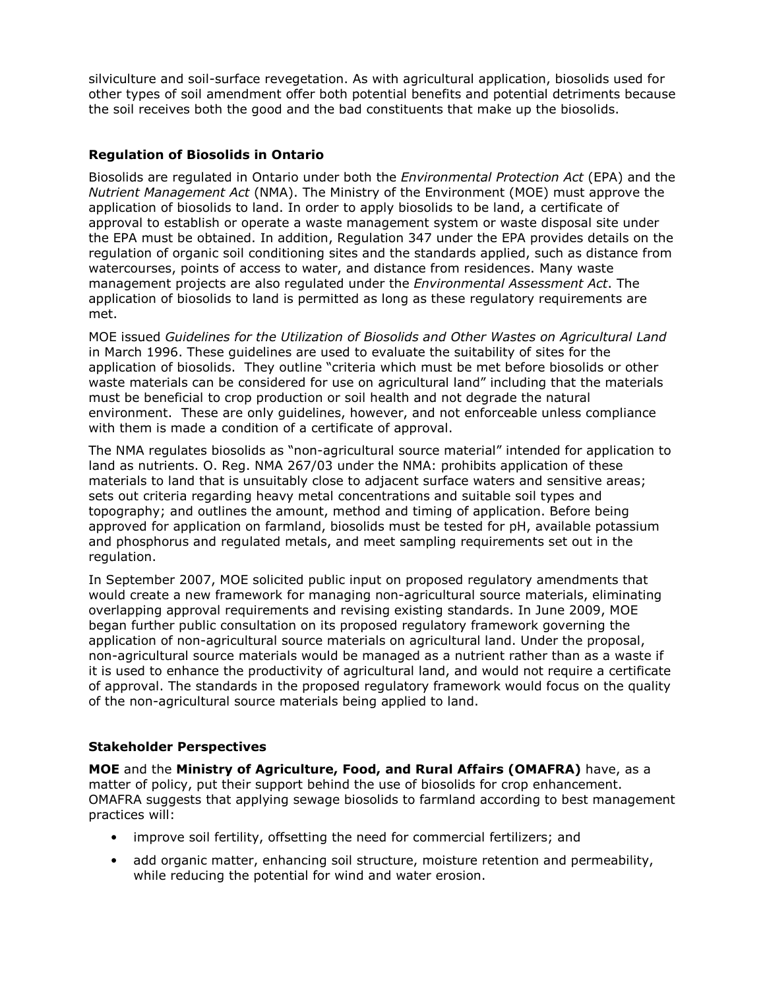silviculture and soil-surface revegetation. As with agricultural application, biosolids used for other types of soil amendment offer both potential benefits and potential detriments because the soil receives both the good and the bad constituents that make up the biosolids.

# Regulation of Biosolids in Ontario

Biosolids are regulated in Ontario under both the *Environmental Protection Act* (EPA) and the Nutrient Management Act (NMA). The Ministry of the Environment (MOE) must approve the application of biosolids to land. In order to apply biosolids to be land, a certificate of approval to establish or operate a waste management system or waste disposal site under the EPA must be obtained. In addition, Regulation 347 under the EPA provides details on the regulation of organic soil conditioning sites and the standards applied, such as distance from watercourses, points of access to water, and distance from residences. Many waste management projects are also regulated under the *Environmental Assessment Act*. The application of biosolids to land is permitted as long as these regulatory requirements are met.

MOE issued Guidelines for the Utilization of Biosolids and Other Wastes on Agricultural Land in March 1996. These guidelines are used to evaluate the suitability of sites for the application of biosolids. They outline "criteria which must be met before biosolids or other waste materials can be considered for use on agricultural land" including that the materials must be beneficial to crop production or soil health and not degrade the natural environment. These are only guidelines, however, and not enforceable unless compliance with them is made a condition of a certificate of approval.

The NMA regulates biosolids as "non-agricultural source material" intended for application to land as nutrients. O. Reg. NMA 267/03 under the NMA: prohibits application of these materials to land that is unsuitably close to adjacent surface waters and sensitive areas; sets out criteria regarding heavy metal concentrations and suitable soil types and topography; and outlines the amount, method and timing of application. Before being approved for application on farmland, biosolids must be tested for pH, available potassium and phosphorus and regulated metals, and meet sampling requirements set out in the regulation.

In September 2007, MOE solicited public input on proposed regulatory amendments that would create a new framework for managing non-agricultural source materials, eliminating overlapping approval requirements and revising existing standards. In June 2009, MOE began further public consultation on its proposed regulatory framework governing the application of non-agricultural source materials on agricultural land. Under the proposal, non-agricultural source materials would be managed as a nutrient rather than as a waste if it is used to enhance the productivity of agricultural land, and would not require a certificate of approval. The standards in the proposed regulatory framework would focus on the quality of the non-agricultural source materials being applied to land.

### Stakeholder Perspectives

MOE and the Ministry of Agriculture, Food, and Rural Affairs (OMAFRA) have, as a matter of policy, put their support behind the use of biosolids for crop enhancement. OMAFRA suggests that applying sewage biosolids to farmland according to best management practices will:

- improve soil fertility, offsetting the need for commercial fertilizers; and
- add organic matter, enhancing soil structure, moisture retention and permeability, while reducing the potential for wind and water erosion.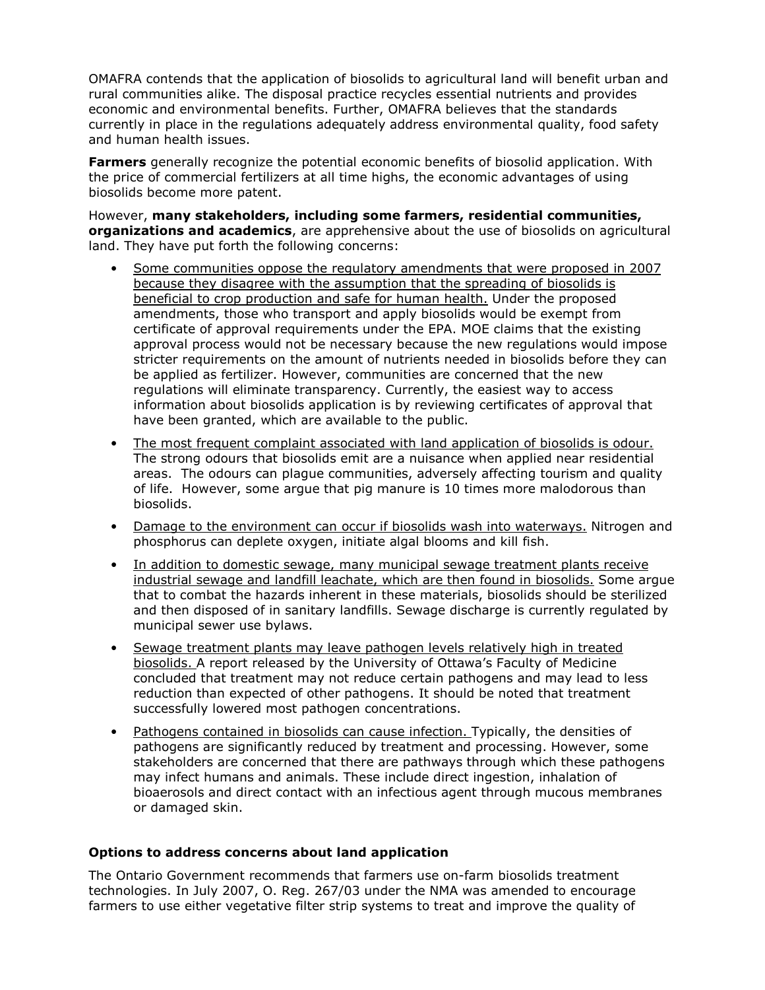OMAFRA contends that the application of biosolids to agricultural land will benefit urban and rural communities alike. The disposal practice recycles essential nutrients and provides economic and environmental benefits. Further, OMAFRA believes that the standards currently in place in the regulations adequately address environmental quality, food safety and human health issues.

**Farmers** generally recognize the potential economic benefits of biosolid application. With the price of commercial fertilizers at all time highs, the economic advantages of using biosolids become more patent.

However, many stakeholders, including some farmers, residential communities, organizations and academics, are apprehensive about the use of biosolids on agricultural land. They have put forth the following concerns:

- Some communities oppose the regulatory amendments that were proposed in 2007 because they disagree with the assumption that the spreading of biosolids is beneficial to crop production and safe for human health. Under the proposed amendments, those who transport and apply biosolids would be exempt from certificate of approval requirements under the EPA. MOE claims that the existing approval process would not be necessary because the new regulations would impose stricter requirements on the amount of nutrients needed in biosolids before they can be applied as fertilizer. However, communities are concerned that the new regulations will eliminate transparency. Currently, the easiest way to access information about biosolids application is by reviewing certificates of approval that have been granted, which are available to the public.
- The most frequent complaint associated with land application of biosolids is odour. The strong odours that biosolids emit are a nuisance when applied near residential areas. The odours can plague communities, adversely affecting tourism and quality of life. However, some argue that pig manure is 10 times more malodorous than biosolids.
- Damage to the environment can occur if biosolids wash into waterways. Nitrogen and phosphorus can deplete oxygen, initiate algal blooms and kill fish.
- In addition to domestic sewage, many municipal sewage treatment plants receive industrial sewage and landfill leachate, which are then found in biosolids. Some argue that to combat the hazards inherent in these materials, biosolids should be sterilized and then disposed of in sanitary landfills. Sewage discharge is currently regulated by municipal sewer use bylaws.
- Sewage treatment plants may leave pathogen levels relatively high in treated biosolids. A report released by the University of Ottawa's Faculty of Medicine concluded that treatment may not reduce certain pathogens and may lead to less reduction than expected of other pathogens. It should be noted that treatment successfully lowered most pathogen concentrations.
- Pathogens contained in biosolids can cause infection. Typically, the densities of pathogens are significantly reduced by treatment and processing. However, some stakeholders are concerned that there are pathways through which these pathogens may infect humans and animals. These include direct ingestion, inhalation of bioaerosols and direct contact with an infectious agent through mucous membranes or damaged skin.

### Options to address concerns about land application

The Ontario Government recommends that farmers use on-farm biosolids treatment technologies. In July 2007, O. Reg. 267/03 under the NMA was amended to encourage farmers to use either vegetative filter strip systems to treat and improve the quality of